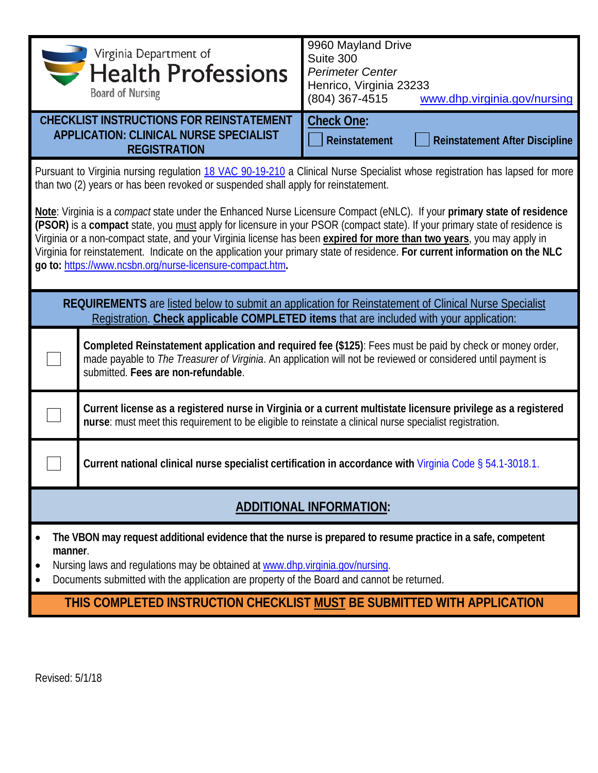| <i><b>Separtment of Separtment of Separtment of Separtment of Separament Separament</b></i><br><b>Board of Nursing</b>                                                                                                                                                                                                                                                                                                                                                                                                                                                                                                                                                                                                                                                                           | 9960 Mayland Drive<br>Suite 300<br><b>Perimeter Center</b><br>Henrico, Virginia 23233<br>(804) 367-4515<br>www.dhp.virginia.gov/nursing                                                                                   |  |  |  |
|--------------------------------------------------------------------------------------------------------------------------------------------------------------------------------------------------------------------------------------------------------------------------------------------------------------------------------------------------------------------------------------------------------------------------------------------------------------------------------------------------------------------------------------------------------------------------------------------------------------------------------------------------------------------------------------------------------------------------------------------------------------------------------------------------|---------------------------------------------------------------------------------------------------------------------------------------------------------------------------------------------------------------------------|--|--|--|
| <b>CHECKLIST INSTRUCTIONS FOR REINSTATEMENT</b><br><b>APPLICATION: CLINICAL NURSE SPECIALIST</b><br><b>REGISTRATION</b>                                                                                                                                                                                                                                                                                                                                                                                                                                                                                                                                                                                                                                                                          | <b>Check One:</b><br>Reinstatement<br><b>Reinstatement After Discipline</b>                                                                                                                                               |  |  |  |
| Pursuant to Virginia nursing regulation 18 VAC 90-19-210 a Clinical Nurse Specialist whose registration has lapsed for more<br>than two (2) years or has been revoked or suspended shall apply for reinstatement.<br>Note: Virginia is a compact state under the Enhanced Nurse Licensure Compact (eNLC). If your primary state of residence<br>(PSOR) is a compact state, you must apply for licensure in your PSOR (compact state). If your primary state of residence is<br>Virginia or a non-compact state, and your Virginia license has been expired for more than two years, you may apply in<br>Virginia for reinstatement. Indicate on the application your primary state of residence. For current information on the NLC<br>go to: https://www.ncsbn.org/nurse-licensure-compact.htm. |                                                                                                                                                                                                                           |  |  |  |
| REQUIREMENTS are listed below to submit an application for Reinstatement of Clinical Nurse Specialist<br>Registration. Check applicable COMPLETED items that are included with your application:                                                                                                                                                                                                                                                                                                                                                                                                                                                                                                                                                                                                 |                                                                                                                                                                                                                           |  |  |  |
| submitted. Fees are non-refundable.                                                                                                                                                                                                                                                                                                                                                                                                                                                                                                                                                                                                                                                                                                                                                              | Completed Reinstatement application and required fee (\$125): Fees must be paid by check or money order,<br>made payable to The Treasurer of Virginia. An application will not be reviewed or considered until payment is |  |  |  |
| Current license as a registered nurse in Virginia or a current multistate licensure privilege as a registered<br>nurse: must meet this requirement to be eligible to reinstate a clinical nurse specialist registration.                                                                                                                                                                                                                                                                                                                                                                                                                                                                                                                                                                         |                                                                                                                                                                                                                           |  |  |  |
| Current national clinical nurse specialist certification in accordance with Virginia Code § 54.1-3018.1.                                                                                                                                                                                                                                                                                                                                                                                                                                                                                                                                                                                                                                                                                         |                                                                                                                                                                                                                           |  |  |  |
| <b>ADDITIONAL INFORMATION:</b>                                                                                                                                                                                                                                                                                                                                                                                                                                                                                                                                                                                                                                                                                                                                                                   |                                                                                                                                                                                                                           |  |  |  |
| The VBON may request additional evidence that the nurse is prepared to resume practice in a safe, competent<br>manner.<br>Nursing laws and regulations may be obtained at www.dhp.virginia.gov/nursing.<br>Documents submitted with the application are property of the Board and cannot be returned.                                                                                                                                                                                                                                                                                                                                                                                                                                                                                            |                                                                                                                                                                                                                           |  |  |  |
|                                                                                                                                                                                                                                                                                                                                                                                                                                                                                                                                                                                                                                                                                                                                                                                                  | THIS COMPLETED INSTRUCTION CHECKLIST MUST BE SUBMITTED WITH APPLICATION                                                                                                                                                   |  |  |  |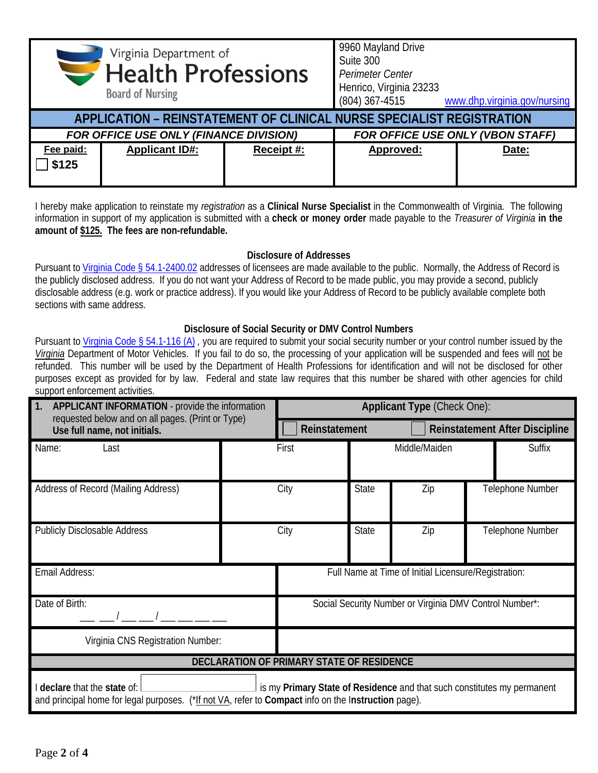|                                        | Virginia Department of<br><b>Health Professions</b><br><b>Board of Nursing</b> |            | 9960 Mayland Drive<br>Suite 300<br>Perimeter Center<br>Henrico, Virginia 23233<br>(804) 367-4515 | www.dhp.virginia.gov/nursing |
|----------------------------------------|--------------------------------------------------------------------------------|------------|--------------------------------------------------------------------------------------------------|------------------------------|
|                                        | APPLICATION - REINSTATEMENT OF CLINICAL NURSE SPECIALIST REGISTRATION          |            |                                                                                                  |                              |
| FOR OFFICE USE ONLY (FINANCE DIVISION) |                                                                                |            | FOR OFFICE USE ONLY (VBON STAFF)                                                                 |                              |
| Fee paid:<br>\$125                     | <b>Applicant ID#:</b>                                                          | Receipt #: | Approved:                                                                                        | Date:                        |

I hereby make application to reinstate my *registration* as a **Clinical Nurse Specialist** in the Commonwealth of Virginia. The following information in support of my application is submitted with a **check or money order** made payable to the *Treasurer of Virginia* **in the amount of \$125. The fees are non-refundable.**

## **Disclosure of Addresses**

Pursuant t[o Virginia Code § 54.1-2400.02](https://law.lis.virginia.gov/vacode/title54.1/chapter24/section54.1-2400.02/) addresses of licensees are made available to the public. Normally, the Address of Record is the publicly disclosed address. If you do not want your Address of Record to be made public, you may provide a second, publicly disclosable address (e.g. work or practice address). If you would like your Address of Record to be publicly available complete both sections with same address.

## **Disclosure of Social Security or DMV Control Numbers**

Pursuant to [Virginia Code § 54.1-116 \(A\)](https://law.lis.virginia.gov/vacode/title54.1/chapter1/section54.1-116/) *,* you are required to submit your social security number or your control number issued by the *Virginia* Department of Motor Vehicles. If you fail to do so, the processing of your application will be suspended and fees will not be refunded. This number will be used by the Department of Health Professions for identification and will not be disclosed for other purposes except as provided for by law. Federal and state law requires that this number be shared with other agencies for child support enforcement activities.

| 1.<br><b>APPLICANT INFORMATION</b> - provide the information<br>requested below and on all pages. (Print or Type)<br>Use full name, not initials.                                                              |       | Applicant Type (Check One):                             |              |               |                  |                                       |  |
|----------------------------------------------------------------------------------------------------------------------------------------------------------------------------------------------------------------|-------|---------------------------------------------------------|--------------|---------------|------------------|---------------------------------------|--|
|                                                                                                                                                                                                                |       | Reinstatement                                           |              |               |                  | <b>Reinstatement After Discipline</b> |  |
| Name:<br>Last                                                                                                                                                                                                  | First |                                                         |              | Middle/Maiden |                  | Suffix                                |  |
| Address of Record (Mailing Address)                                                                                                                                                                            | City  |                                                         | <b>State</b> | Zip           |                  | Telephone Number                      |  |
| <b>Publicly Disclosable Address</b>                                                                                                                                                                            | City  |                                                         | <b>State</b> | Zip           | Telephone Number |                                       |  |
| Email Address:                                                                                                                                                                                                 |       | Full Name at Time of Initial Licensure/Registration:    |              |               |                  |                                       |  |
| Date of Birth:                                                                                                                                                                                                 |       | Social Security Number or Virginia DMV Control Number*: |              |               |                  |                                       |  |
| Virginia CNS Registration Number:                                                                                                                                                                              |       |                                                         |              |               |                  |                                       |  |
| <b>DECLARATION OF PRIMARY STATE OF RESIDENCE</b>                                                                                                                                                               |       |                                                         |              |               |                  |                                       |  |
| I declare that the state of:<br>is my Primary State of Residence and that such constitutes my permanent<br>and principal home for legal purposes. (*If not VA, refer to Compact info on the Instruction page). |       |                                                         |              |               |                  |                                       |  |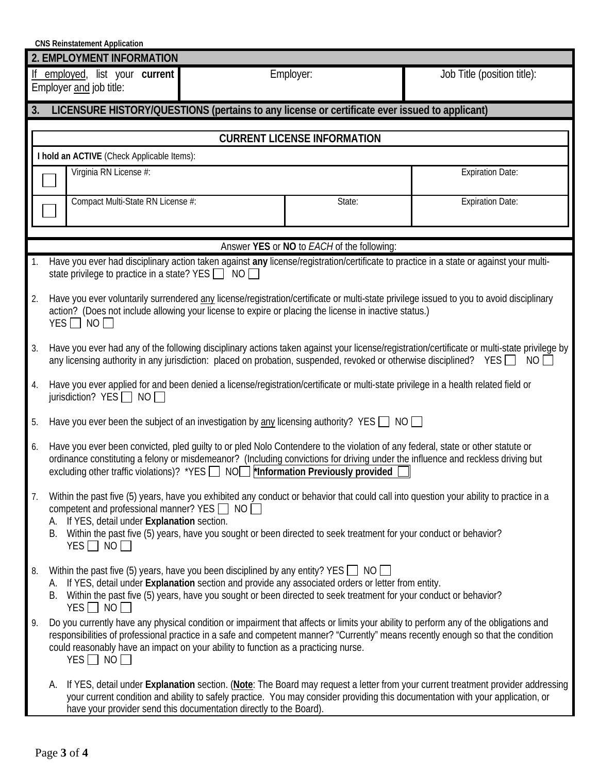| <b>CNS Reinstatement Application</b> |  |  |
|--------------------------------------|--|--|
|--------------------------------------|--|--|

|    | 2. EMPLOYMENT INFORMATION                                                                                                                                                                                                                                                                                                                                                                      |                                            |  |  |  |  |  |
|----|------------------------------------------------------------------------------------------------------------------------------------------------------------------------------------------------------------------------------------------------------------------------------------------------------------------------------------------------------------------------------------------------|--------------------------------------------|--|--|--|--|--|
|    | Job Title (position title):<br>employed, list your current<br>Employer:<br>Employer and job title:                                                                                                                                                                                                                                                                                             |                                            |  |  |  |  |  |
| 3. | LICENSURE HISTORY/QUESTIONS (pertains to any license or certificate ever issued to applicant)                                                                                                                                                                                                                                                                                                  |                                            |  |  |  |  |  |
|    |                                                                                                                                                                                                                                                                                                                                                                                                |                                            |  |  |  |  |  |
|    | <b>CURRENT LICENSE INFORMATION</b>                                                                                                                                                                                                                                                                                                                                                             |                                            |  |  |  |  |  |
|    | I hold an ACTIVE (Check Applicable Items):                                                                                                                                                                                                                                                                                                                                                     |                                            |  |  |  |  |  |
|    | Virginia RN License #:<br><b>Expiration Date:</b>                                                                                                                                                                                                                                                                                                                                              |                                            |  |  |  |  |  |
|    | Compact Multi-State RN License #:                                                                                                                                                                                                                                                                                                                                                              | State:                                     |  |  |  |  |  |
|    |                                                                                                                                                                                                                                                                                                                                                                                                |                                            |  |  |  |  |  |
|    |                                                                                                                                                                                                                                                                                                                                                                                                | Answer YES or NO to EACH of the following: |  |  |  |  |  |
| 1. | Have you ever had disciplinary action taken against any license/registration/certificate to practice in a state or against your multi-<br>state privilege to practice in a state? YES $\Box$ NO                                                                                                                                                                                                |                                            |  |  |  |  |  |
| 2. | Have you ever voluntarily surrendered any license/registration/certificate or multi-state privilege issued to you to avoid disciplinary<br>action? (Does not include allowing your license to expire or placing the license in inactive status.)<br>YES $\Box$ NO $\Box$                                                                                                                       |                                            |  |  |  |  |  |
| 3. | Have you ever had any of the following disciplinary actions taken against your license/registration/certificate or multi-state privilege by<br>any licensing authority in any jurisdiction: placed on probation, suspended, revoked or otherwise disciplined? YES<br>NO I                                                                                                                      |                                            |  |  |  |  |  |
| 4. | Have you ever applied for and been denied a license/registration/certificate or multi-state privilege in a health related field or<br>jurisdiction? $YES$ NO                                                                                                                                                                                                                                   |                                            |  |  |  |  |  |
| 5. | Have you ever been the subject of an investigation by <u>any</u> licensing authority? YES $\Box$ NO                                                                                                                                                                                                                                                                                            |                                            |  |  |  |  |  |
| 6. | Have you ever been convicted, pled guilty to or pled Nolo Contendere to the violation of any federal, state or other statute or<br>ordinance constituting a felony or misdemeanor? (Including convictions for driving under the influence and reckless driving but<br>excluding other traffic violations)? *YES $\Box$ NO $\Box$ *Information Previously provided                              |                                            |  |  |  |  |  |
| 7. | Within the past five (5) years, have you exhibited any conduct or behavior that could call into question your ability to practice in a<br>competent and professional manner? YES $\Box$ NO $\Box$<br>A. If YES, detail under Explanation section.<br>B. Within the past five (5) years, have you sought or been directed to seek treatment for your conduct or behavior?<br>$YES \Box NO \Box$ |                                            |  |  |  |  |  |
| 8. | Within the past five (5) years, have you been disciplined by any entity? YES $\Box$ NO $\Box$<br>A. If YES, detail under Explanation section and provide any associated orders or letter from entity.<br>B. Within the past five (5) years, have you sought or been directed to seek treatment for your conduct or behavior?<br>$YES$ NO                                                       |                                            |  |  |  |  |  |
| 9. | Do you currently have any physical condition or impairment that affects or limits your ability to perform any of the obligations and<br>responsibilities of professional practice in a safe and competent manner? "Currently" means recently enough so that the condition<br>could reasonably have an impact on your ability to function as a practicing nurse.<br>$YES \Box NO \Box$          |                                            |  |  |  |  |  |
|    | If YES, detail under Explanation section. (Note: The Board may request a letter from your current treatment provider addressing<br>А.<br>your current condition and ability to safely practice. You may consider providing this documentation with your application, or<br>have your provider send this documentation directly to the Board).                                                  |                                            |  |  |  |  |  |